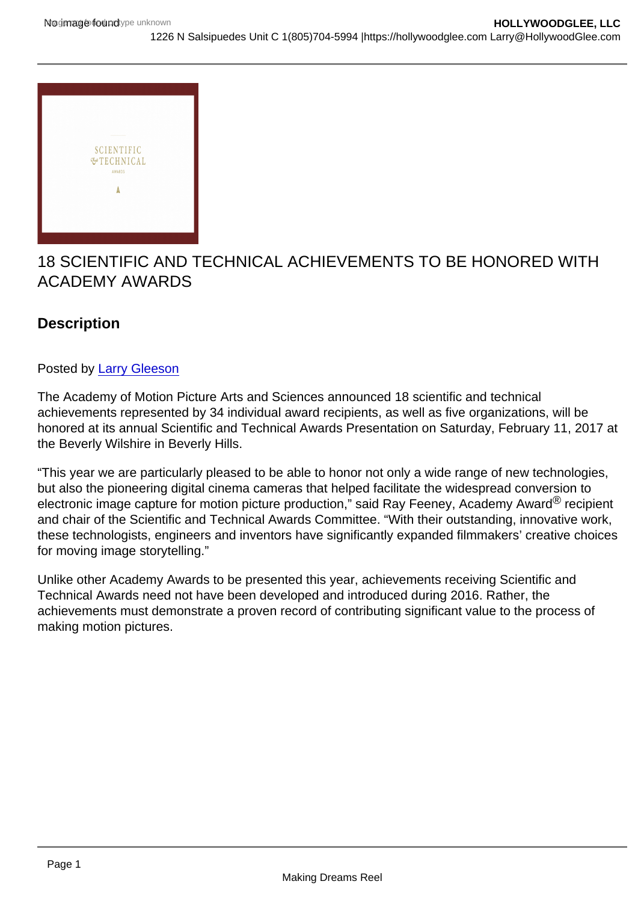# 18 SCIENTIFIC AND TECHNICAL ACHIEVEMENTS TO BE HONORED WITH ACADEMY AWARDS

**Description** 

# Posted by [Larry Gleeson](http://sbccfilmreviews.org/?s=Larry+Gleeson)

The Academy of Motion Picture Arts and Sciences announced 18 scientific and technical achievements represented by 34 individual award recipients, as well as five organizations, will be honored at its annual Scientific and Technical Awards Presentation on Saturday, February 11, 2017 at the Beverly Wilshire in Beverly Hills.

"This year we are particularly pleased to be able to honor not only a wide range of new technologies, but also the pioneering digital cinema cameras that helped facilitate the widespread conversion to electronic image capture for motion picture production," said Ray Feeney, Academy Award® recipient and chair of the Scientific and Technical Awards Committee. "With their outstanding, innovative work, these technologists, engineers and inventors have significantly expanded filmmakers' creative choices for moving image storytelling."

Unlike other Academy Awards to be presented this year, achievements receiving Scientific and Technical Awards need not have been developed and introduced during 2016. Rather, the achievements must demonstrate a proven record of contributing significant value to the process of making motion pictures.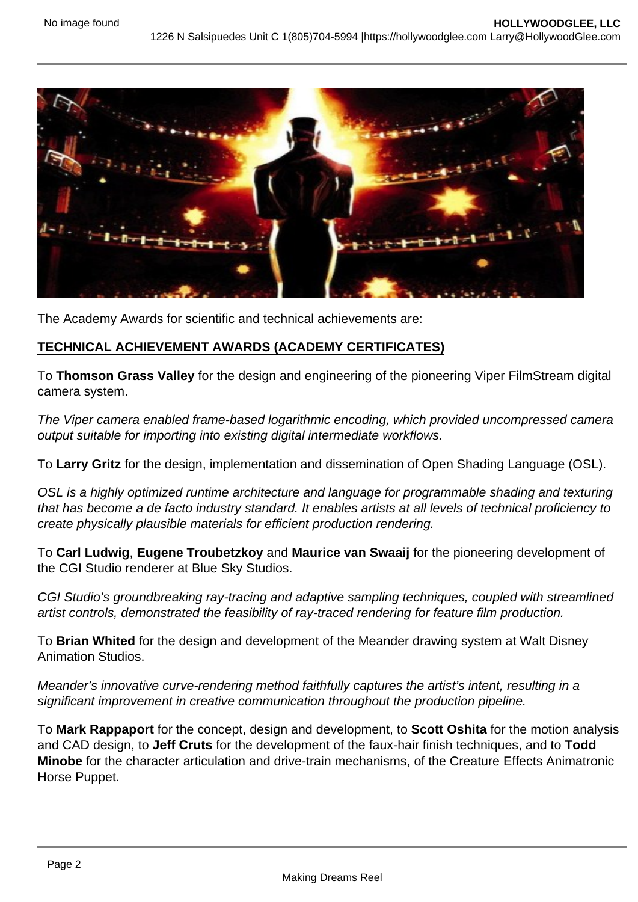

The Academy Awards for scientific and technical achievements are:

## **TECHNICAL ACHIEVEMENT AWARDS (ACADEMY CERTIFICATES)**

To **Thomson Grass Valley** for the design and engineering of the pioneering Viper FilmStream digital camera system.

The Viper camera enabled frame-based logarithmic encoding, which provided uncompressed camera output suitable for importing into existing digital intermediate workflows.

To **Larry Gritz** for the design, implementation and dissemination of Open Shading Language (OSL).

OSL is a highly optimized runtime architecture and language for programmable shading and texturing that has become a de facto industry standard. It enables artists at all levels of technical proficiency to create physically plausible materials for efficient production rendering.

To **Carl Ludwig**, **Eugene Troubetzkoy** and **Maurice van Swaaij** for the pioneering development of the CGI Studio renderer at Blue Sky Studios.

CGI Studio's groundbreaking ray-tracing and adaptive sampling techniques, coupled with streamlined artist controls, demonstrated the feasibility of ray-traced rendering for feature film production.

To **Brian Whited** for the design and development of the Meander drawing system at Walt Disney Animation Studios.

Meander's innovative curve-rendering method faithfully captures the artist's intent, resulting in a significant improvement in creative communication throughout the production pipeline.

To **Mark Rappaport** for the concept, design and development, to **Scott Oshita** for the motion analysis and CAD design, to **Jeff Cruts** for the development of the faux-hair finish techniques, and to **Todd Minobe** for the character articulation and drive-train mechanisms, of the Creature Effects Animatronic Horse Puppet.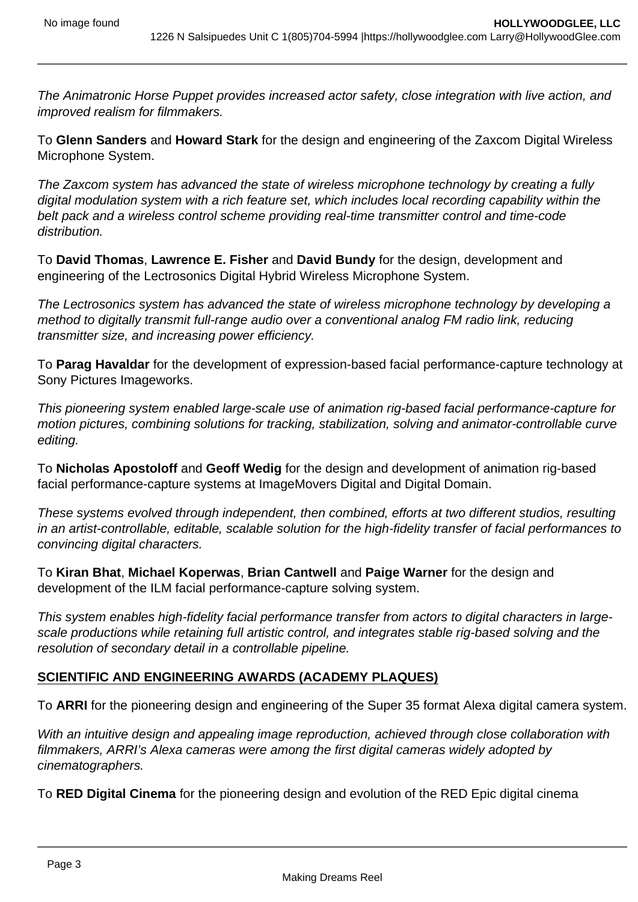The Animatronic Horse Puppet provides increased actor safety, close integration with live action, and improved realism for filmmakers.

To **Glenn Sanders** and **Howard Stark** for the design and engineering of the Zaxcom Digital Wireless Microphone System.

The Zaxcom system has advanced the state of wireless microphone technology by creating a fully digital modulation system with a rich feature set, which includes local recording capability within the belt pack and a wireless control scheme providing real-time transmitter control and time-code distribution.

To **David Thomas**, **Lawrence E. Fisher** and **David Bundy** for the design, development and engineering of the Lectrosonics Digital Hybrid Wireless Microphone System.

The Lectrosonics system has advanced the state of wireless microphone technology by developing a method to digitally transmit full-range audio over a conventional analog FM radio link, reducing transmitter size, and increasing power efficiency.

To **Parag Havaldar** for the development of expression-based facial performance-capture technology at Sony Pictures Imageworks.

This pioneering system enabled large-scale use of animation rig-based facial performance-capture for motion pictures, combining solutions for tracking, stabilization, solving and animator-controllable curve editing.

To **Nicholas Apostoloff** and **Geoff Wedig** for the design and development of animation rig-based facial performance-capture systems at ImageMovers Digital and Digital Domain.

These systems evolved through independent, then combined, efforts at two different studios, resulting in an artist-controllable, editable, scalable solution for the high-fidelity transfer of facial performances to convincing digital characters.

To **Kiran Bhat**, **Michael Koperwas**, **Brian Cantwell** and **Paige Warner** for the design and development of the ILM facial performance-capture solving system.

This system enables high-fidelity facial performance transfer from actors to digital characters in largescale productions while retaining full artistic control, and integrates stable rig-based solving and the resolution of secondary detail in a controllable pipeline.

## **SCIENTIFIC AND ENGINEERING AWARDS (ACADEMY PLAQUES)**

To **ARRI** for the pioneering design and engineering of the Super 35 format Alexa digital camera system.

With an intuitive design and appealing image reproduction, achieved through close collaboration with filmmakers, ARRI's Alexa cameras were among the first digital cameras widely adopted by cinematographers.

To **RED Digital Cinema** for the pioneering design and evolution of the RED Epic digital cinema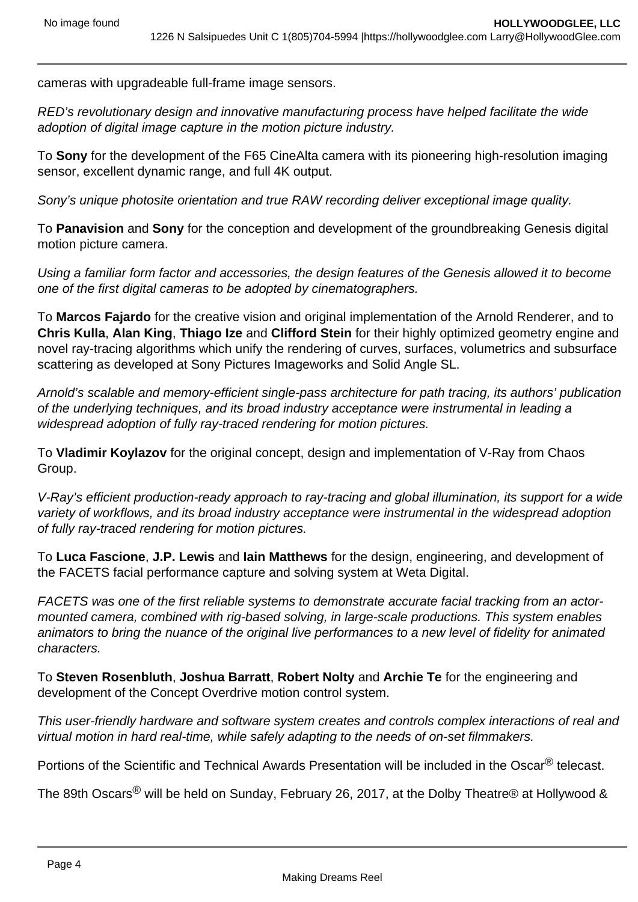cameras with upgradeable full-frame image sensors.

RED's revolutionary design and innovative manufacturing process have helped facilitate the wide adoption of digital image capture in the motion picture industry.

To **Sony** for the development of the F65 CineAlta camera with its pioneering high-resolution imaging sensor, excellent dynamic range, and full 4K output.

Sony's unique photosite orientation and true RAW recording deliver exceptional image quality.

To **Panavision** and **Sony** for the conception and development of the groundbreaking Genesis digital motion picture camera.

Using a familiar form factor and accessories, the design features of the Genesis allowed it to become one of the first digital cameras to be adopted by cinematographers.

To **Marcos Fajardo** for the creative vision and original implementation of the Arnold Renderer, and to **Chris Kulla**, **Alan King**, **Thiago Ize** and **Clifford Stein** for their highly optimized geometry engine and novel ray-tracing algorithms which unify the rendering of curves, surfaces, volumetrics and subsurface scattering as developed at Sony Pictures Imageworks and Solid Angle SL.

Arnold's scalable and memory-efficient single-pass architecture for path tracing, its authors' publication of the underlying techniques, and its broad industry acceptance were instrumental in leading a widespread adoption of fully ray-traced rendering for motion pictures.

To **Vladimir Koylazov** for the original concept, design and implementation of V-Ray from Chaos Group.

V-Ray's efficient production-ready approach to ray-tracing and global illumination, its support for a wide variety of workflows, and its broad industry acceptance were instrumental in the widespread adoption of fully ray-traced rendering for motion pictures.

To **Luca Fascione**, **J.P. Lewis** and **Iain Matthews** for the design, engineering, and development of the FACETS facial performance capture and solving system at Weta Digital.

FACETS was one of the first reliable systems to demonstrate accurate facial tracking from an actormounted camera, combined with rig-based solving, in large-scale productions. This system enables animators to bring the nuance of the original live performances to a new level of fidelity for animated characters.

To **Steven Rosenbluth**, **Joshua Barratt**, **Robert Nolty** and **Archie Te** for the engineering and development of the Concept Overdrive motion control system.

This user-friendly hardware and software system creates and controls complex interactions of real and virtual motion in hard real-time, while safely adapting to the needs of on-set filmmakers.

Portions of the Scientific and Technical Awards Presentation will be included in the Oscar<sup>®</sup> telecast.

The 89th Oscars<sup>®</sup> will be held on Sunday, February 26, 2017, at the Dolby Theatre® at Hollywood &